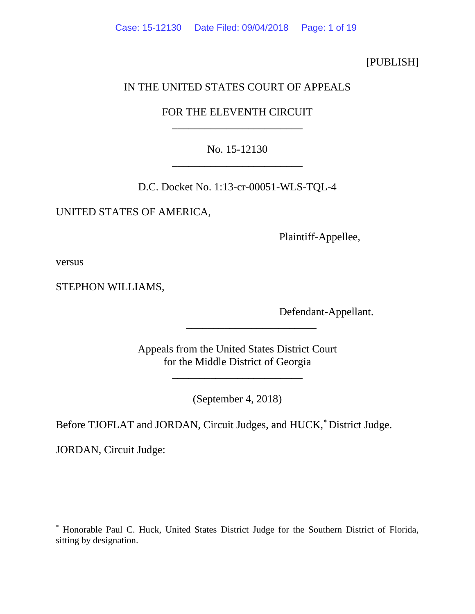[PUBLISH]

# IN THE UNITED STATES COURT OF APPEALS

# FOR THE ELEVENTH CIRCUIT \_\_\_\_\_\_\_\_\_\_\_\_\_\_\_\_\_\_\_\_\_\_\_\_

# No. 15-12130 \_\_\_\_\_\_\_\_\_\_\_\_\_\_\_\_\_\_\_\_\_\_\_\_

D.C. Docket No. 1:13-cr-00051-WLS-TQL-4

UNITED STATES OF AMERICA,

Plaintiff-Appellee,

versus

 $\overline{a}$ 

STEPHON WILLIAMS,

Defendant-Appellant.

Appeals from the United States District Court for the Middle District of Georgia

\_\_\_\_\_\_\_\_\_\_\_\_\_\_\_\_\_\_\_\_\_\_\_\_

\_\_\_\_\_\_\_\_\_\_\_\_\_\_\_\_\_\_\_\_\_\_\_\_

(September 4, 2018)

Before TJOFLAT and JORDAN, Circuit Judges, and HUCK,<sup>\*</sup> District Judge.

JORDAN, Circuit Judge:

<span id="page-0-0"></span><sup>∗</sup> Honorable Paul C. Huck, United States District Judge for the Southern District of Florida, sitting by designation.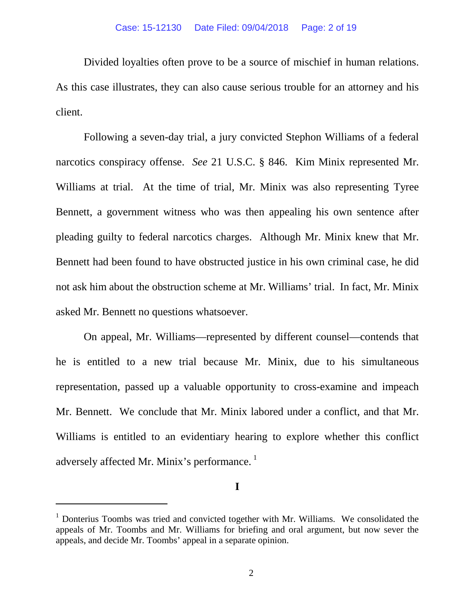Divided loyalties often prove to be a source of mischief in human relations. As this case illustrates, they can also cause serious trouble for an attorney and his client.

Following a seven-day trial, a jury convicted Stephon Williams of a federal narcotics conspiracy offense. *See* 21 U.S.C. § 846. Kim Minix represented Mr. Williams at trial. At the time of trial, Mr. Minix was also representing Tyree Bennett, a government witness who was then appealing his own sentence after pleading guilty to federal narcotics charges. Although Mr. Minix knew that Mr. Bennett had been found to have obstructed justice in his own criminal case, he did not ask him about the obstruction scheme at Mr. Williams' trial. In fact, Mr. Minix asked Mr. Bennett no questions whatsoever.

On appeal, Mr. Williams—represented by different counsel—contends that he is entitled to a new trial because Mr. Minix, due to his simultaneous representation, passed up a valuable opportunity to cross-examine and impeach Mr. Bennett. We conclude that Mr. Minix labored under a conflict, and that Mr. Williams is entitled to an evidentiary hearing to explore whether this conflict adversely affected Mr. Minix's performance.<sup>[1](#page-1-0)</sup>

**I**

<span id="page-1-0"></span> $1$  Donterius Toombs was tried and convicted together with Mr. Williams. We consolidated the appeals of Mr. Toombs and Mr. Williams for briefing and oral argument, but now sever the appeals, and decide Mr. Toombs' appeal in a separate opinion.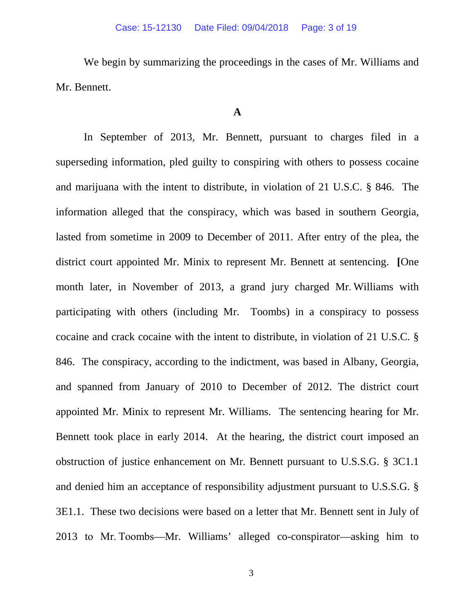We begin by summarizing the proceedings in the cases of Mr. Williams and Mr. Bennett.

## **A**

In September of 2013, Mr. Bennett, pursuant to charges filed in a superseding information, pled guilty to conspiring with others to possess cocaine and marijuana with the intent to distribute, in violation of 21 U.S.C. § 846. The information alleged that the conspiracy, which was based in southern Georgia, lasted from sometime in 2009 to December of 2011. After entry of the plea, the district court appointed Mr. Minix to represent Mr. Bennett at sentencing. **[**One month later, in November of 2013, a grand jury charged Mr. Williams with participating with others (including Mr. Toombs) in a conspiracy to possess cocaine and crack cocaine with the intent to distribute, in violation of 21 U.S.C. § 846. The conspiracy, according to the indictment, was based in Albany, Georgia, and spanned from January of 2010 to December of 2012. The district court appointed Mr. Minix to represent Mr. Williams. The sentencing hearing for Mr. Bennett took place in early 2014. At the hearing, the district court imposed an obstruction of justice enhancement on Mr. Bennett pursuant to U.S.S.G. § 3C1.1 and denied him an acceptance of responsibility adjustment pursuant to U.S.S.G. § 3E1.1. These two decisions were based on a letter that Mr. Bennett sent in July of 2013 to Mr. Toombs—Mr. Williams' alleged co-conspirator—asking him to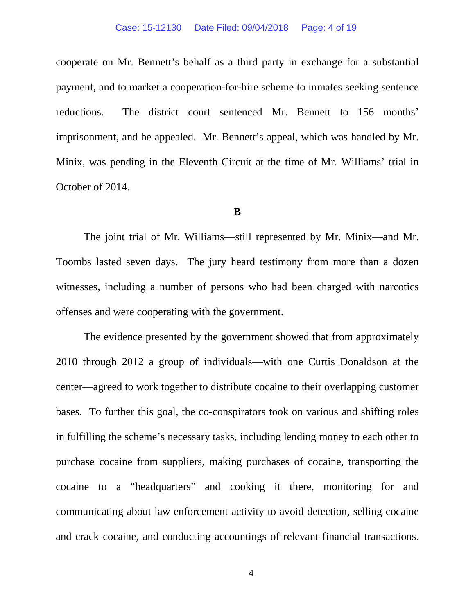cooperate on Mr. Bennett's behalf as a third party in exchange for a substantial payment, and to market a cooperation-for-hire scheme to inmates seeking sentence reductions. The district court sentenced Mr. Bennett to 156 months' imprisonment, and he appealed. Mr. Bennett's appeal, which was handled by Mr. Minix, was pending in the Eleventh Circuit at the time of Mr. Williams' trial in October of 2014.

### **B**

The joint trial of Mr. Williams—still represented by Mr. Minix—and Mr. Toombs lasted seven days. The jury heard testimony from more than a dozen witnesses, including a number of persons who had been charged with narcotics offenses and were cooperating with the government.

The evidence presented by the government showed that from approximately 2010 through 2012 a group of individuals—with one Curtis Donaldson at the center—agreed to work together to distribute cocaine to their overlapping customer bases. To further this goal, the co-conspirators took on various and shifting roles in fulfilling the scheme's necessary tasks, including lending money to each other to purchase cocaine from suppliers, making purchases of cocaine, transporting the cocaine to a "headquarters" and cooking it there, monitoring for and communicating about law enforcement activity to avoid detection, selling cocaine and crack cocaine, and conducting accountings of relevant financial transactions.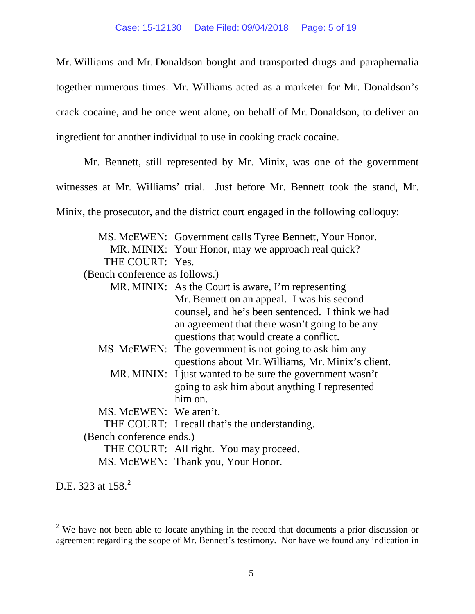Mr. Williams and Mr. Donaldson bought and transported drugs and paraphernalia together numerous times. Mr. Williams acted as a marketer for Mr. Donaldson's crack cocaine, and he once went alone, on behalf of Mr. Donaldson, to deliver an ingredient for another individual to use in cooking crack cocaine.

Mr. Bennett, still represented by Mr. Minix, was one of the government

witnesses at Mr. Williams' trial. Just before Mr. Bennett took the stand, Mr.

Minix, the prosecutor, and the district court engaged in the following colloquy:

|                                | MS. McEWEN: Government calls Tyree Bennett, Your Honor.   |
|--------------------------------|-----------------------------------------------------------|
|                                | MR. MINIX: Your Honor, may we approach real quick?        |
| THE COURT: Yes.                |                                                           |
| (Bench conference as follows.) |                                                           |
|                                | MR. MINIX: As the Court is aware, I'm representing        |
|                                | Mr. Bennett on an appeal. I was his second                |
|                                | counsel, and he's been sentenced. I think we had          |
|                                | an agreement that there wasn't going to be any            |
|                                | questions that would create a conflict.                   |
|                                | MS. McEWEN: The government is not going to ask him any    |
|                                | questions about Mr. Williams, Mr. Minix's client.         |
|                                | MR. MINIX: I just wanted to be sure the government wasn't |
|                                | going to ask him about anything I represented             |
|                                | him on.                                                   |
| MS. McEWEN: We aren't.         |                                                           |
|                                | THE COURT: I recall that's the understanding.             |
| (Bench conference ends.)       |                                                           |
|                                | THE COURT: All right. You may proceed.                    |
|                                | MS. McEWEN: Thank you, Your Honor.                        |

D.E. 3[2](#page-4-0)3 at 158.<sup>2</sup>

<span id="page-4-0"></span> $2$  We have not been able to locate anything in the record that documents a prior discussion or agreement regarding the scope of Mr. Bennett's testimony. Nor have we found any indication in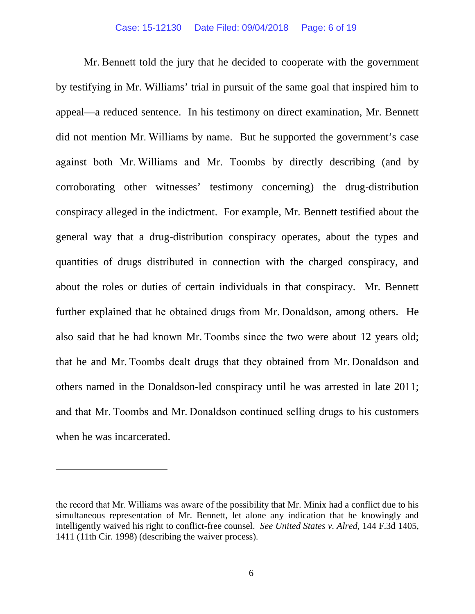Mr. Bennett told the jury that he decided to cooperate with the government by testifying in Mr. Williams' trial in pursuit of the same goal that inspired him to appeal—a reduced sentence. In his testimony on direct examination, Mr. Bennett did not mention Mr. Williams by name. But he supported the government's case against both Mr. Williams and Mr. Toombs by directly describing (and by corroborating other witnesses' testimony concerning) the drug-distribution conspiracy alleged in the indictment. For example, Mr. Bennett testified about the general way that a drug-distribution conspiracy operates, about the types and quantities of drugs distributed in connection with the charged conspiracy, and about the roles or duties of certain individuals in that conspiracy. Mr. Bennett further explained that he obtained drugs from Mr. Donaldson, among others. He also said that he had known Mr. Toombs since the two were about 12 years old; that he and Mr. Toombs dealt drugs that they obtained from Mr. Donaldson and others named in the Donaldson-led conspiracy until he was arrested in late 2011; and that Mr. Toombs and Mr. Donaldson continued selling drugs to his customers when he was incarcerated.

the record that Mr. Williams was aware of the possibility that Mr. Minix had a conflict due to his simultaneous representation of Mr. Bennett, let alone any indication that he knowingly and intelligently waived his right to conflict-free counsel. *See United States v. Alred*, 144 F.3d 1405, 1411 (11th Cir. 1998) (describing the waiver process).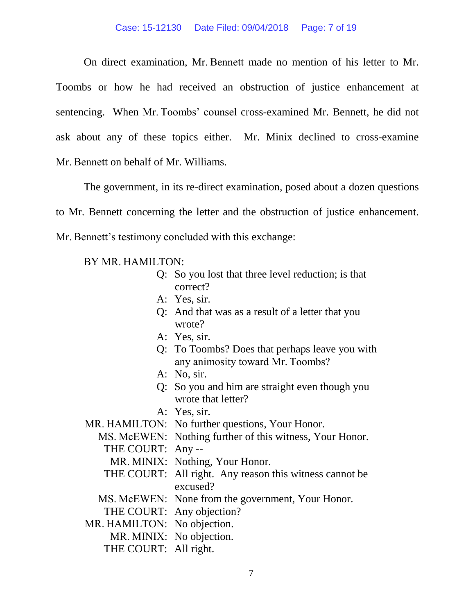#### Case: 15-12130 Date Filed: 09/04/2018 Page: 7 of 19

On direct examination, Mr. Bennett made no mention of his letter to Mr. Toombs or how he had received an obstruction of justice enhancement at sentencing. When Mr. Toombs' counsel cross-examined Mr. Bennett, he did not ask about any of these topics either. Mr. Minix declined to cross-examine Mr. Bennett on behalf of Mr. Williams.

The government, in its re-direct examination, posed about a dozen questions to Mr. Bennett concerning the letter and the obstruction of justice enhancement. Mr. Bennett's testimony concluded with this exchange:

## BY MR. HAMILTON:

- Q: So you lost that three level reduction; is that correct?
- A: Yes, sir.
- Q: And that was as a result of a letter that you wrote?
- A: Yes, sir.
- Q: To Toombs? Does that perhaps leave you with any animosity toward Mr. Toombs?
- A: No, sir.
- Q: So you and him are straight even though you wrote that letter?
- A: Yes, sir.

MR. HAMILTON: No further questions, Your Honor.

MS. McEWEN: Nothing further of this witness, Your Honor.

THE COURT: Any --

- MR. MINIX: Nothing, Your Honor.
- THE COURT: All right. Any reason this witness cannot be excused?
- MS. McEWEN: None from the government, Your Honor.
- THE COURT: Any objection?
- MR. HAMILTON: No objection.
	- MR. MINIX: No objection.
	- THE COURT: All right.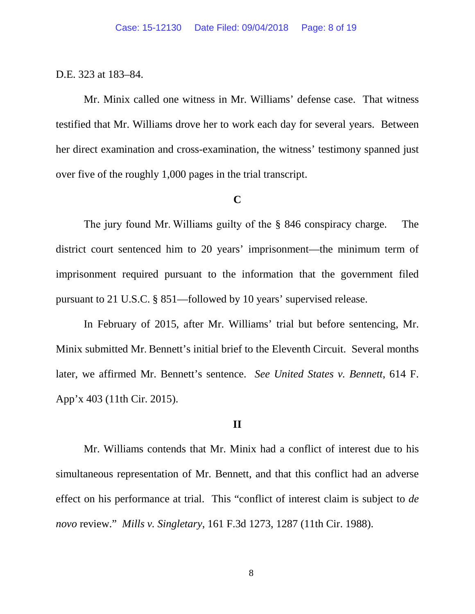### D.E. 323 at 183–84.

Mr. Minix called one witness in Mr. Williams' defense case. That witness testified that Mr. Williams drove her to work each day for several years. Between her direct examination and cross-examination, the witness' testimony spanned just over five of the roughly 1,000 pages in the trial transcript.

### **C**

The jury found Mr. Williams guilty of the § 846 conspiracy charge. The district court sentenced him to 20 years' imprisonment—the minimum term of imprisonment required pursuant to the information that the government filed pursuant to 21 U.S.C. § 851—followed by 10 years' supervised release.

In February of 2015, after Mr. Williams' trial but before sentencing, Mr. Minix submitted Mr. Bennett's initial brief to the Eleventh Circuit. Several months later, we affirmed Mr. Bennett's sentence. *See United States v. Bennett*, 614 F. App'x 403 (11th Cir. 2015).

#### **II**

Mr. Williams contends that Mr. Minix had a conflict of interest due to his simultaneous representation of Mr. Bennett, and that this conflict had an adverse effect on his performance at trial. This "conflict of interest claim is subject to *de novo* review." *Mills v. Singletary*, 161 F.3d 1273, 1287 (11th Cir. 1988).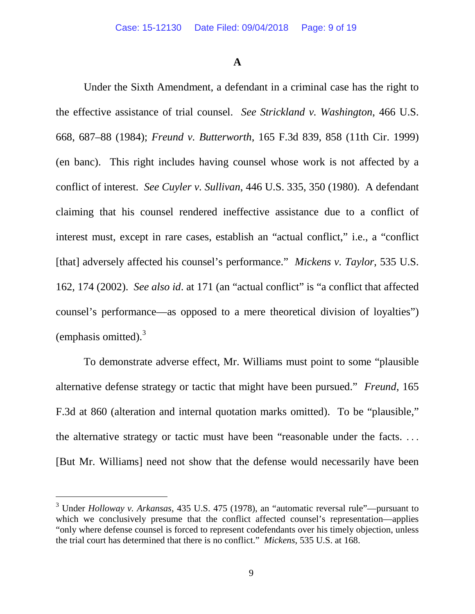**A**

Under the Sixth Amendment, a defendant in a criminal case has the right to the effective assistance of trial counsel. *See Strickland v. Washington*, 466 U.S. 668, 687–88 (1984); *Freund v. Butterworth*, 165 F.3d 839, 858 (11th Cir. 1999) (en banc). This right includes having counsel whose work is not affected by a conflict of interest. *See Cuyler v. Sullivan*, 446 U.S. 335, 350 (1980). A defendant claiming that his counsel rendered ineffective assistance due to a conflict of interest must, except in rare cases, establish an "actual conflict," i.e., a "conflict [that] adversely affected his counsel's performance." *Mickens v. Taylor*, 535 U.S. 162, 174 (2002). *See also id*. at 171 (an "actual conflict" is "a conflict that affected counsel's performance—as opposed to a mere theoretical division of loyalties") (emphasis omitted). $3$ 

To demonstrate adverse effect, Mr. Williams must point to some "plausible alternative defense strategy or tactic that might have been pursued." *Freund*, 165 F.3d at 860 (alteration and internal quotation marks omitted). To be "plausible," the alternative strategy or tactic must have been "reasonable under the facts. . . . [But Mr. Williams] need not show that the defense would necessarily have been

<span id="page-8-0"></span> <sup>3</sup> Under *Holloway v. Arkansas*, 435 U.S. 475 (1978), an "automatic reversal rule"—pursuant to which we conclusively presume that the conflict affected counsel's representation—applies "only where defense counsel is forced to represent codefendants over his timely objection, unless the trial court has determined that there is no conflict." *Mickens*, 535 U.S. at 168.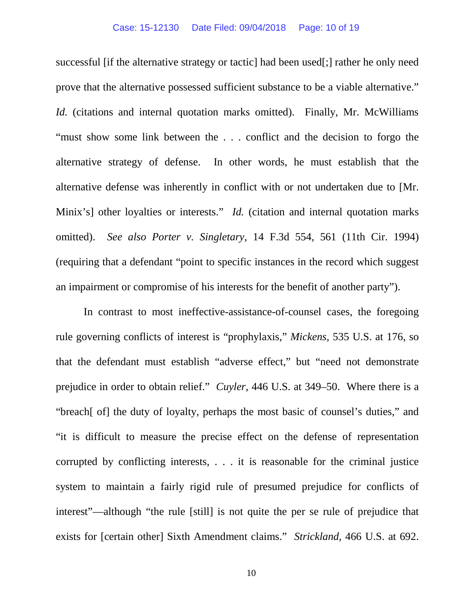successful [if the alternative strategy or tactic] had been used[;] rather he only need prove that the alternative possessed sufficient substance to be a viable alternative." *Id.* (citations and internal quotation marks omitted). Finally, Mr. McWilliams "must show some link between the . . . conflict and the decision to forgo the alternative strategy of defense. In other words, he must establish that the alternative defense was inherently in conflict with or not undertaken due to [Mr. Minix's] other loyalties or interests." *Id.* (citation and internal quotation marks omitted). *See also Porter v. Singletary*, 14 F.3d 554, 561 (11th Cir. 1994) (requiring that a defendant "point to specific instances in the record which suggest an impairment or compromise of his interests for the benefit of another party").

In contrast to most ineffective-assistance-of-counsel cases, the foregoing rule governing conflicts of interest is "prophylaxis," *Mickens*, 535 U.S. at 176, so that the defendant must establish "adverse effect," but "need not demonstrate prejudice in order to obtain relief." *Cuyler*, 446 U.S. at 349–50. Where there is a "breach[ of] the duty of loyalty, perhaps the most basic of counsel's duties," and "it is difficult to measure the precise effect on the defense of representation corrupted by conflicting interests, . . . it is reasonable for the criminal justice system to maintain a fairly rigid rule of presumed prejudice for conflicts of interest"—although "the rule [still] is not quite the per se rule of prejudice that exists for [certain other] Sixth Amendment claims." *Strickland*, 466 U.S. at 692.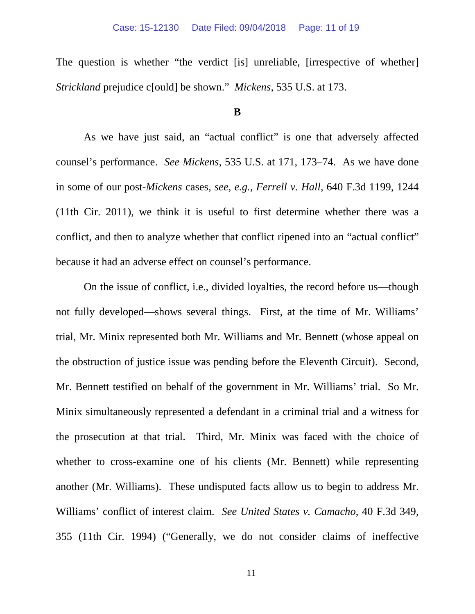The question is whether "the verdict [is] unreliable, [irrespective of whether] *Strickland* prejudice c[ould] be shown." *Mickens*, 535 U.S. at 173.

## **B**

As we have just said, an "actual conflict" is one that adversely affected counsel's performance. *See Mickens*, 535 U.S. at 171, 173–74. As we have done in some of our post-*Mickens* cases, *see, e.g., Ferrell v. Hall*, 640 F.3d 1199, 1244 (11th Cir. 2011), we think it is useful to first determine whether there was a conflict, and then to analyze whether that conflict ripened into an "actual conflict" because it had an adverse effect on counsel's performance.

On the issue of conflict, i.e., divided loyalties, the record before us—though not fully developed—shows several things. First, at the time of Mr. Williams' trial, Mr. Minix represented both Mr. Williams and Mr. Bennett (whose appeal on the obstruction of justice issue was pending before the Eleventh Circuit). Second, Mr. Bennett testified on behalf of the government in Mr. Williams' trial. So Mr. Minix simultaneously represented a defendant in a criminal trial and a witness for the prosecution at that trial. Third, Mr. Minix was faced with the choice of whether to cross-examine one of his clients (Mr. Bennett) while representing another (Mr. Williams). These undisputed facts allow us to begin to address Mr. Williams' conflict of interest claim. *See United States v. Camacho*, 40 F.3d 349, 355 (11th Cir. 1994) ("Generally, we do not consider claims of ineffective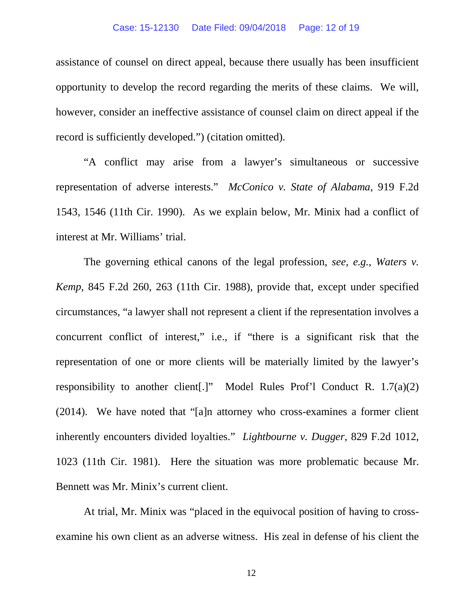### Case: 15-12130 Date Filed: 09/04/2018 Page: 12 of 19

assistance of counsel on direct appeal, because there usually has been insufficient opportunity to develop the record regarding the merits of these claims. We will, however, consider an ineffective assistance of counsel claim on direct appeal if the record is sufficiently developed.") (citation omitted).

"A conflict may arise from a lawyer's simultaneous or successive representation of adverse interests." *McConico v. State of Alabama*, 919 F.2d 1543, 1546 (11th Cir. 1990). As we explain below, Mr. Minix had a conflict of interest at Mr. Williams' trial.

The governing ethical canons of the legal profession, *see, e.g., Waters v. Kemp*, 845 F.2d 260, 263 (11th Cir. 1988), provide that, except under specified circumstances, "a lawyer shall not represent a client if the representation involves a concurrent conflict of interest," i.e., if "there is a significant risk that the representation of one or more clients will be materially limited by the lawyer's responsibility to another client[.]" Model Rules Prof'l Conduct R. 1.7(a)(2) (2014). We have noted that "[a]n attorney who cross-examines a former client inherently encounters divided loyalties." *Lightbourne v. Dugger*, 829 F.2d 1012, 1023 (11th Cir. 1981). Here the situation was more problematic because Mr. Bennett was Mr. Minix's current client.

At trial, Mr. Minix was "placed in the equivocal position of having to crossexamine his own client as an adverse witness. His zeal in defense of his client the

12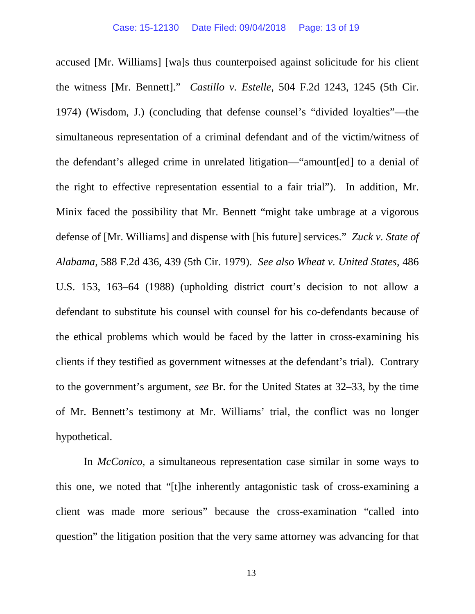accused [Mr. Williams] [wa]s thus counterpoised against solicitude for his client the witness [Mr. Bennett]." *Castillo v. Estelle*, 504 F.2d 1243, 1245 (5th Cir. 1974) (Wisdom, J.) (concluding that defense counsel's "divided loyalties"—the simultaneous representation of a criminal defendant and of the victim/witness of the defendant's alleged crime in unrelated litigation—"amount[ed] to a denial of the right to effective representation essential to a fair trial"). In addition, Mr. Minix faced the possibility that Mr. Bennett "might take umbrage at a vigorous defense of [Mr. Williams] and dispense with [his future] services." *Zuck v. State of Alabama*, 588 F.2d 436, 439 (5th Cir. 1979). *See also Wheat v. United States*, 486 U.S. 153, 163–64 (1988) (upholding district court's decision to not allow a defendant to substitute his counsel with counsel for his co-defendants because of the ethical problems which would be faced by the latter in cross-examining his clients if they testified as government witnesses at the defendant's trial). Contrary to the government's argument, *see* Br. for the United States at 32–33, by the time of Mr. Bennett's testimony at Mr. Williams' trial, the conflict was no longer hypothetical.

In *McConico*, a simultaneous representation case similar in some ways to this one, we noted that "[t]he inherently antagonistic task of cross-examining a client was made more serious" because the cross-examination "called into question" the litigation position that the very same attorney was advancing for that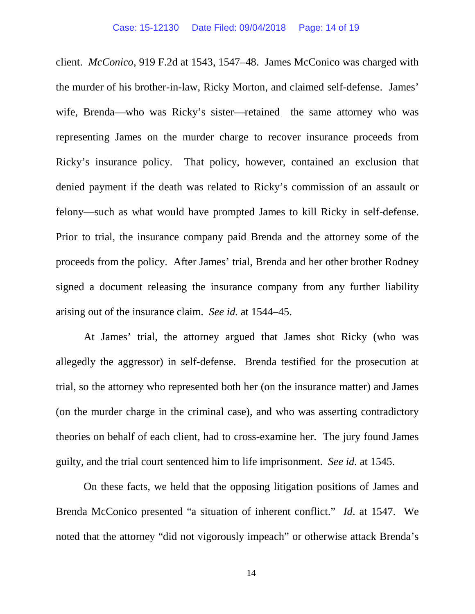client. *McConico*, 919 F.2d at 1543, 1547–48. James McConico was charged with the murder of his brother-in-law, Ricky Morton, and claimed self-defense. James' wife, Brenda—who was Ricky's sister—retained the same attorney who was representing James on the murder charge to recover insurance proceeds from Ricky's insurance policy. That policy, however, contained an exclusion that denied payment if the death was related to Ricky's commission of an assault or felony—such as what would have prompted James to kill Ricky in self-defense. Prior to trial, the insurance company paid Brenda and the attorney some of the proceeds from the policy. After James' trial, Brenda and her other brother Rodney signed a document releasing the insurance company from any further liability arising out of the insurance claim. *See id.* at 1544–45.

At James' trial, the attorney argued that James shot Ricky (who was allegedly the aggressor) in self-defense. Brenda testified for the prosecution at trial, so the attorney who represented both her (on the insurance matter) and James (on the murder charge in the criminal case), and who was asserting contradictory theories on behalf of each client, had to cross-examine her. The jury found James guilty, and the trial court sentenced him to life imprisonment. *See id.* at 1545.

On these facts, we held that the opposing litigation positions of James and Brenda McConico presented "a situation of inherent conflict." *Id*. at 1547. We noted that the attorney "did not vigorously impeach" or otherwise attack Brenda's

14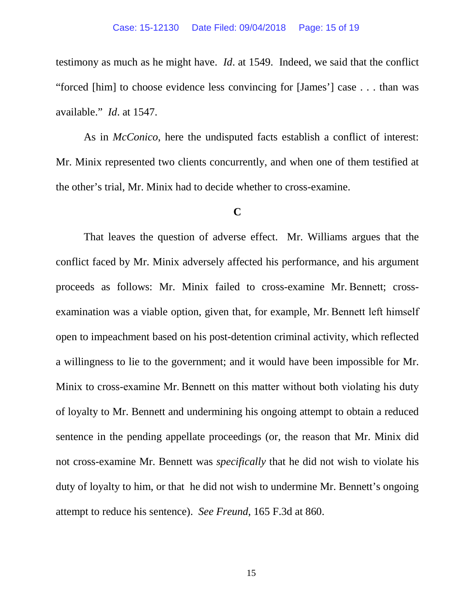testimony as much as he might have. *Id*. at 1549. Indeed, we said that the conflict "forced [him] to choose evidence less convincing for [James'] case . . . than was available." *Id*. at 1547.

As in *McConico*, here the undisputed facts establish a conflict of interest: Mr. Minix represented two clients concurrently, and when one of them testified at the other's trial, Mr. Minix had to decide whether to cross-examine.

### **C**

That leaves the question of adverse effect. Mr. Williams argues that the conflict faced by Mr. Minix adversely affected his performance, and his argument proceeds as follows: Mr. Minix failed to cross-examine Mr. Bennett; crossexamination was a viable option, given that, for example, Mr. Bennett left himself open to impeachment based on his post-detention criminal activity, which reflected a willingness to lie to the government; and it would have been impossible for Mr. Minix to cross-examine Mr. Bennett on this matter without both violating his duty of loyalty to Mr. Bennett and undermining his ongoing attempt to obtain a reduced sentence in the pending appellate proceedings (or, the reason that Mr. Minix did not cross-examine Mr. Bennett was *specifically* that he did not wish to violate his duty of loyalty to him, or that he did not wish to undermine Mr. Bennett's ongoing attempt to reduce his sentence). *See Freund*, 165 F.3d at 860.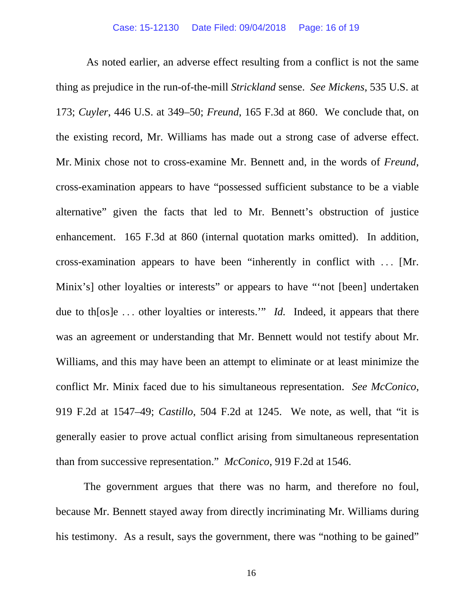As noted earlier, an adverse effect resulting from a conflict is not the same thing as prejudice in the run-of-the-mill *Strickland* sense. *See Mickens*, 535 U.S. at 173; *Cuyler*, 446 U.S. at 349–50; *Freund*, 165 F.3d at 860. We conclude that, on the existing record, Mr. Williams has made out a strong case of adverse effect. Mr. Minix chose not to cross-examine Mr. Bennett and, in the words of *Freund*, cross-examination appears to have "possessed sufficient substance to be a viable alternative" given the facts that led to Mr. Bennett's obstruction of justice enhancement. 165 F.3d at 860 (internal quotation marks omitted). In addition, cross-examination appears to have been "inherently in conflict with . . . [Mr. Minix's] other loyalties or interests" or appears to have "'not [been] undertaken due to th[os]e . . . other loyalties or interests.'" *Id.* Indeed, it appears that there was an agreement or understanding that Mr. Bennett would not testify about Mr. Williams, and this may have been an attempt to eliminate or at least minimize the conflict Mr. Minix faced due to his simultaneous representation. *See McConico*, 919 F.2d at 1547–49; *Castillo*, 504 F.2d at 1245. We note, as well, that "it is generally easier to prove actual conflict arising from simultaneous representation than from successive representation." *McConico*, 919 F.2d at 1546.

The government argues that there was no harm, and therefore no foul, because Mr. Bennett stayed away from directly incriminating Mr. Williams during his testimony. As a result, says the government, there was "nothing to be gained"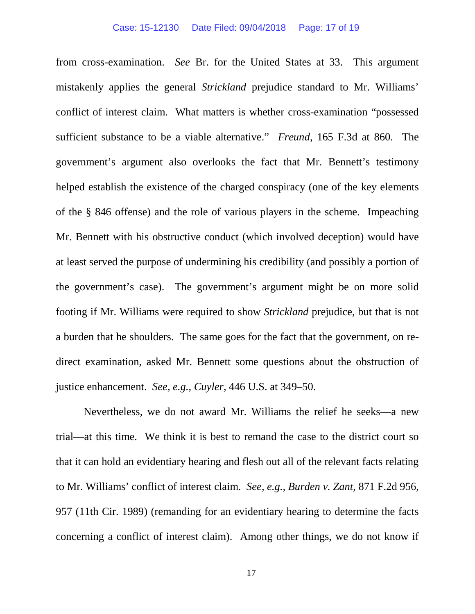#### Case: 15-12130 Date Filed: 09/04/2018 Page: 17 of 19

from cross-examination. *See* Br. for the United States at 33. This argument mistakenly applies the general *Strickland* prejudice standard to Mr. Williams' conflict of interest claim. What matters is whether cross-examination "possessed sufficient substance to be a viable alternative." *Freund*, 165 F.3d at 860. The government's argument also overlooks the fact that Mr. Bennett's testimony helped establish the existence of the charged conspiracy (one of the key elements of the § 846 offense) and the role of various players in the scheme. Impeaching Mr. Bennett with his obstructive conduct (which involved deception) would have at least served the purpose of undermining his credibility (and possibly a portion of the government's case). The government's argument might be on more solid footing if Mr. Williams were required to show *Strickland* prejudice, but that is not a burden that he shoulders. The same goes for the fact that the government, on redirect examination, asked Mr. Bennett some questions about the obstruction of justice enhancement. *See, e.g., Cuyler*, 446 U.S. at 349–50.

Nevertheless, we do not award Mr. Williams the relief he seeks—a new trial—at this time. We think it is best to remand the case to the district court so that it can hold an evidentiary hearing and flesh out all of the relevant facts relating to Mr. Williams' conflict of interest claim. *See, e.g., Burden v. Zant*, 871 F.2d 956, 957 (11th Cir. 1989) (remanding for an evidentiary hearing to determine the facts concerning a conflict of interest claim). Among other things, we do not know if

17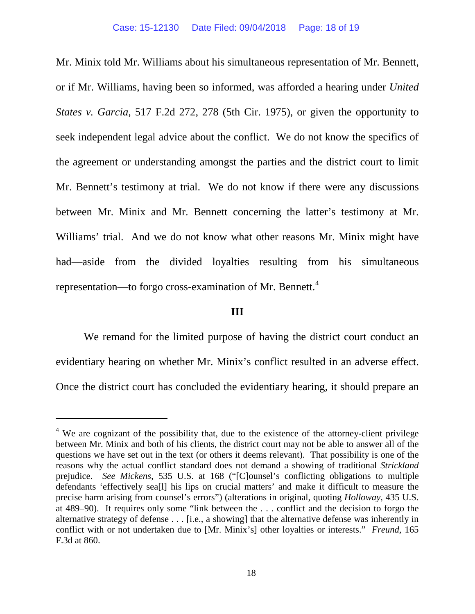Mr. Minix told Mr. Williams about his simultaneous representation of Mr. Bennett, or if Mr. Williams, having been so informed, was afforded a hearing under *United States v. Garcia*, 517 F.2d 272, 278 (5th Cir. 1975), or given the opportunity to seek independent legal advice about the conflict. We do not know the specifics of the agreement or understanding amongst the parties and the district court to limit Mr. Bennett's testimony at trial. We do not know if there were any discussions between Mr. Minix and Mr. Bennett concerning the latter's testimony at Mr. Williams' trial. And we do not know what other reasons Mr. Minix might have had—aside from the divided loyalties resulting from his simultaneous representation—to forgo cross-examination of Mr. Bennett.<sup>[4](#page-17-0)</sup>

## **III**

We remand for the limited purpose of having the district court conduct an evidentiary hearing on whether Mr. Minix's conflict resulted in an adverse effect. Once the district court has concluded the evidentiary hearing, it should prepare an

<span id="page-17-0"></span><sup>&</sup>lt;sup>4</sup> We are cognizant of the possibility that, due to the existence of the attorney-client privilege between Mr. Minix and both of his clients, the district court may not be able to answer all of the questions we have set out in the text (or others it deems relevant). That possibility is one of the reasons why the actual conflict standard does not demand a showing of traditional *Strickland*  prejudice. *See Mickens*, 535 U.S. at 168 ("[C]ounsel's conflicting obligations to multiple defendants 'effectively sea[l] his lips on crucial matters' and make it difficult to measure the precise harm arising from counsel's errors") (alterations in original, quoting *Holloway*, 435 U.S. at 489–90). It requires only some "link between the . . . conflict and the decision to forgo the alternative strategy of defense . . . [i.e., a showing] that the alternative defense was inherently in conflict with or not undertaken due to [Mr. Minix's] other loyalties or interests." *Freund*, 165 F.3d at 860.